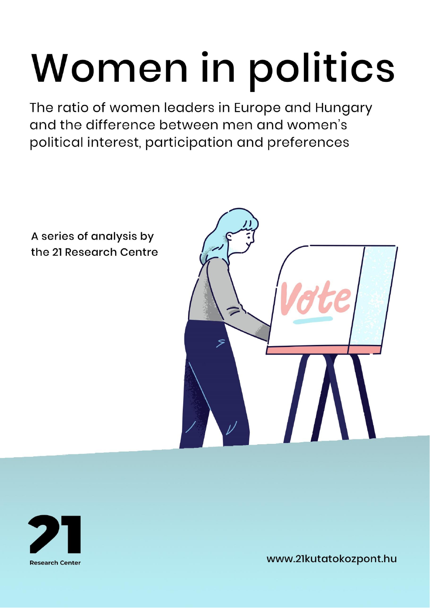# Women in politics

The ratio of women leaders in Europe and Hungary and the difference between men and women's political interest, participation and preferences



A series of analysis by the 21 Research Centre



www.21kutatokozpont.hu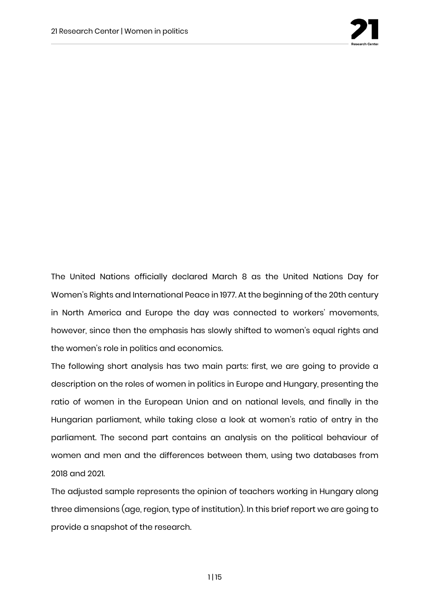

The United Nations officially declared March 8 as the United Nations Day for Women's Rights and International Peace in 1977. At the beginning of the 20th century in North America and Europe the day was connected to workers' movements, however, since then the emphasis has slowly shifted to women's equal rights and the women's role in politics and economics.

The following short analysis has two main parts: first, we are going to provide a description on the roles of women in politics in Europe and Hungary, presenting the ratio of women in the European Union and on national levels, and finally in the Hungarian parliament, while taking close a look at women's ratio of entry in the parliament. The second part contains an analysis on the political behaviour of women and men and the differences between them, using two databases from 2018 and 2021.

The adjusted sample represents the opinion of teachers working in Hungary along three dimensions (age, region, type of institution). In this brief report we are going to provide a snapshot of the research.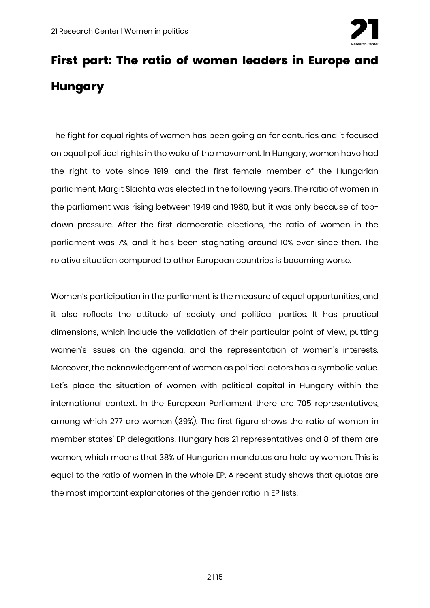

## **First part: The ratio of women leaders in Europe and Hungary**

The fight for equal rights of women has been going on for centuries and it focused on equal political rights in the wake of the movement. In Hungary, women have had the right to vote since 1919, and the first female member of the Hungarian parliament, Margit Slachta was elected in the following years. The ratio of women in the parliament was rising between 1949 and 1980, but it was only because of topdown pressure. After the first democratic elections, the ratio of women in the parliament was 7%, and it has been stagnating around 10% ever since then. The relative situation compared to other European countries is becoming worse.

Women's participation in the parliament is the measure of equal opportunities, and it also reflects the attitude of society and political parties. It has practical dimensions, which include the validation of their particular point of view, putting women's issues on the agenda, and the representation of women's interests. Moreover, the acknowledgement of women as political actors has a symbolic value. Let's place the situation of women with political capital in Hungary within the international context. In the European Parliament there are 705 representatives, among which 277 are women (39%). The first figure shows the ratio of women in member states' EP delegations. Hungary has 21 representatives and 8 of them are women, which means that 38% of Hungarian mandates are held by women. This is equal to the ratio of women in the whole EP. A recent study shows that quotas are the most important explanatories of the gender ratio in EP lists.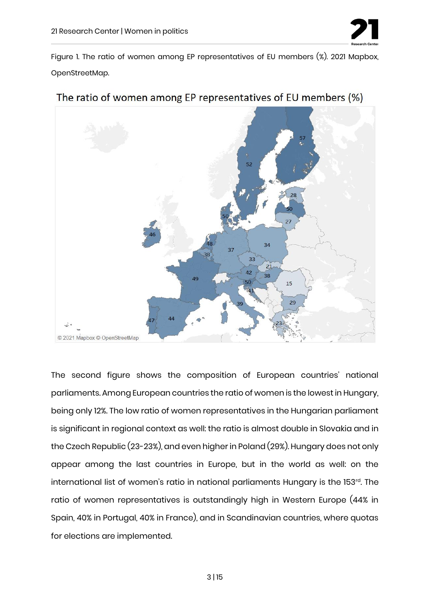

Figure 1. The ratio of women among EP representatives of EU members (%). 2021 Mapbox, OpenStreetMap.



The ratio of women among EP representatives of EU members (%)

The second figure shows the composition of European countries' national parliaments. Among European countries the ratio of women is the lowest in Hungary, being only 12%. The low ratio of women representatives in the Hungarian parliament is significant in regional context as well: the ratio is almost double in Slovakia and in the Czech Republic (23-23%), and even higher in Poland (29%). Hungary does not only appear among the last countries in Europe, but in the world as well: on the international list of women's ratio in national parliaments Hungary is the 153<sup>rd</sup>. The ratio of women representatives is outstandingly high in Western Europe (44% in Spain, 40% in Portugal, 40% in France), and in Scandinavian countries, where quotas for elections are implemented.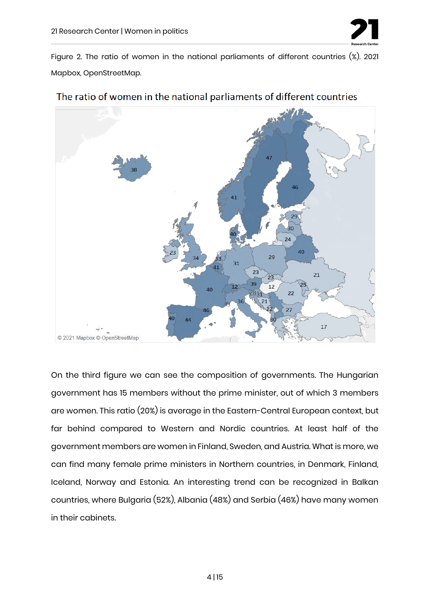

Figure 2. The ratio of women in the national parliaments of different countries (%). 2021 Mapbox, OpenStreetMap.



#### The ratio of women in the national parliaments of different countries

On the third figure we can see the composition of governments. The Hungarian government has 15 members without the prime minister, out of which 3 members are women. This ratio (20%) is average in the Eastern-Central European context, but far behind compared to Western and Nordic countries. At least half of the government members are women in Finland, Sweden, and Austria. What is more, we can find many female prime ministers in Northern countries, in Denmark, Finland, Iceland, Norway and Estonia. An interesting trend can be recognized in Balkan countries, where Bulgaria (52%), Albania (48%) and Serbia (46%) have many women in their cabinets.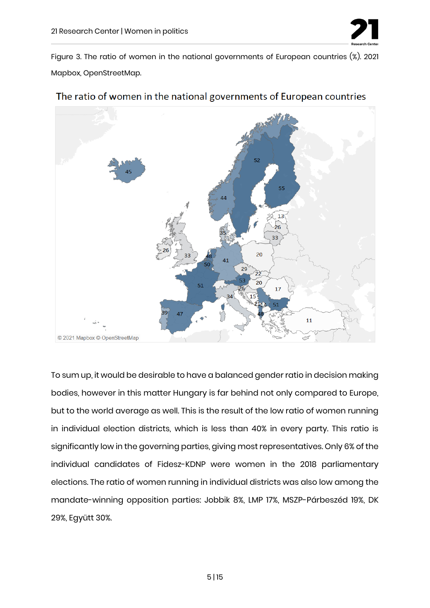

Figure 3. The ratio of women in the national governments of European countries (%). 2021 Mapbox, OpenStreetMap.



#### The ratio of women in the national governments of European countries

To sum up, it would be desirable to have a balanced gender ratio in decision making bodies, however in this matter Hungary is far behind not only compared to Europe, but to the world average as well. This is the result of the low ratio of women running in individual election districts, which is less than 40% in every party. This ratio is significantly low in the governing parties, giving most representatives. Only 6% of the individual candidates of Fidesz-KDNP were women in the 2018 parliamentary elections. The ratio of women running in individual districts was also low among the mandate-winning opposition parties: Jobbik 8%, LMP 17%, MSZP-Párbeszéd 19%, DK 29%, Együtt 30%.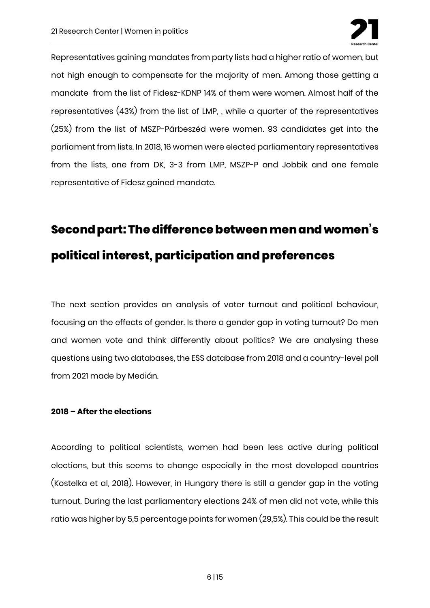

Representatives gaining mandates from party lists had a higher ratio of women, but not high enough to compensate for the majority of men. Among those getting a mandate from the list of Fidesz-KDNP 14% of them were women. Almost half of the representatives (43%) from the list of LMP, , while a quarter of the representatives (25%) from the list of MSZP-Párbeszéd were women. 93 candidates get into the parliament from lists. In 2018, 16 women were elected parliamentary representatives from the lists, one from DK, 3-3 from LMP, MSZP-P and Jobbik and one female representative of Fidesz gained mandate.

## **Second part: The difference between men and women's political interest, participation and preferences**

The next section provides an analysis of voter turnout and political behaviour, focusing on the effects of gender. Is there a gender gap in voting turnout? Do men and women vote and think differently about politics? We are analysing these questions using two databases, the ESS database from 2018 and a country-level poll from 2021 made by Medián.

#### **2018 – After the elections**

According to political scientists, women had been less active during political elections, but this seems to change especially in the most developed countries (Kostelka et al, 2018). However, in Hungary there is still a gender gap in the voting turnout. During the last parliamentary elections 24% of men did not vote, while this ratio was higher by 5,5 percentage points for women (29,5%). This could be the result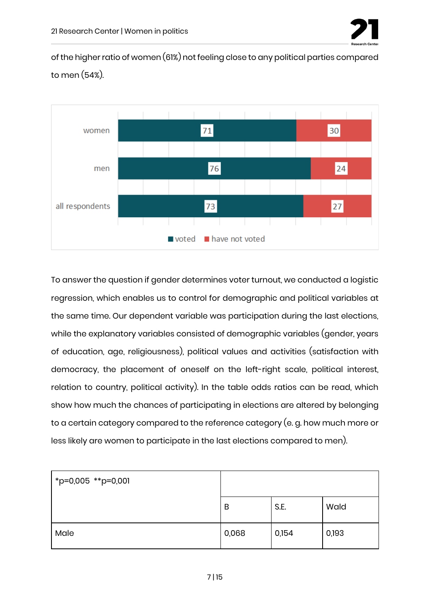

of the higher ratio of women (61%) not feeling close to any political parties compared to men (54%).



To answer the question if gender determines voter turnout, we conducted a logistic regression, which enables us to control for demographic and political variables at the same time. Our dependent variable was participation during the last elections, while the explanatory variables consisted of demographic variables (gender, years of education, age, religiousness), political values and activities (satisfaction with democracy, the placement of oneself on the left-right scale, political interest, relation to country, political activity). In the table odds ratios can be read, which show how much the chances of participating in elections are altered by belonging to a certain category compared to the reference category (e. g. how much more or less likely are women to participate in the last elections compared to men).

| *p=0,005 **p=0,001 |       |       |       |
|--------------------|-------|-------|-------|
|                    | B     | S.E.  | Wald  |
| Male               | 0,068 | 0,154 | 0,193 |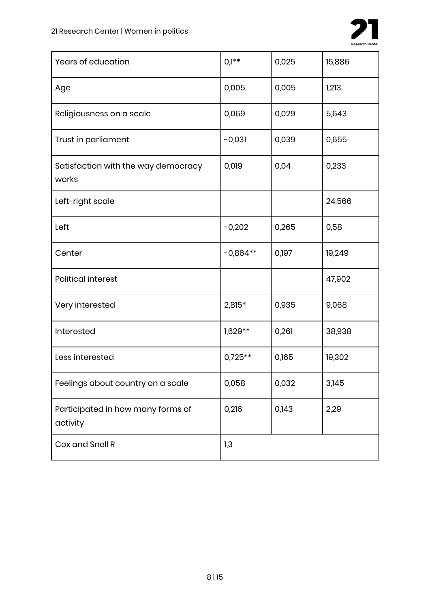

| Years of education                            | $0,1**$    | 0,025 | 15,886 |
|-----------------------------------------------|------------|-------|--------|
| Age                                           | 0,005      | 0,005 | 1,213  |
| Religiousness on a scale                      | 0,069      | 0,029 | 5,643  |
| Trust in parliament                           | $-0,031$   | 0,039 | 0,655  |
| Satisfaction with the way democracy<br>works  | 0,019      | 0,04  | 0,233  |
| Left-right scale                              |            |       | 24,566 |
| Left                                          | $-0,202$   | 0,265 | 0,58   |
| Center                                        | $-0,864**$ | 0,197 | 19,249 |
| <b>Political interest</b>                     |            |       | 47,902 |
| Very interested                               | 2,815*     | 0,935 | 9,068  |
| Interested                                    | $1,629**$  | 0,261 | 38,938 |
| Less interested                               | $0,725**$  | 0,165 | 19,302 |
| Feelings about country on a scale             | 0,058      | 0,032 | 3,145  |
| Participated in how many forms of<br>activity | 0,216      | 0,143 | 2,29   |
| Cox and Snell R                               | 1,3        |       |        |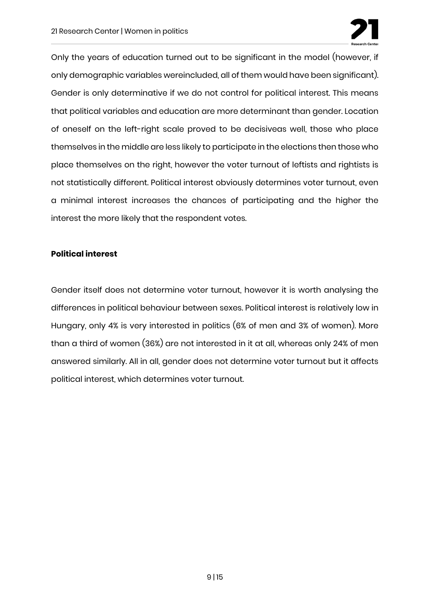

Only the years of education turned out to be significant in the model (however, if only demographic variables wereincluded, all of them would have been significant). Gender is only determinative if we do not control for political interest. This means that political variables and education are more determinant than gender. Location of oneself on the left-right scale proved to be decisiveas well, those who place themselves in the middle are less likely to participate in the elections then those who place themselves on the right, however the voter turnout of leftists and rightists is not statistically different. Political interest obviously determines voter turnout, even a minimal interest increases the chances of participating and the higher the interest the more likely that the respondent votes.

#### **Political interest**

Gender itself does not determine voter turnout, however it is worth analysing the differences in political behaviour between sexes. Political interest is relatively low in Hungary, only 4% is very interested in politics (6% of men and 3% of women). More than a third of women (36%) are not interested in it at all, whereas only 24% of men answered similarly. All in all, gender does not determine voter turnout but it affects political interest, which determines voter turnout.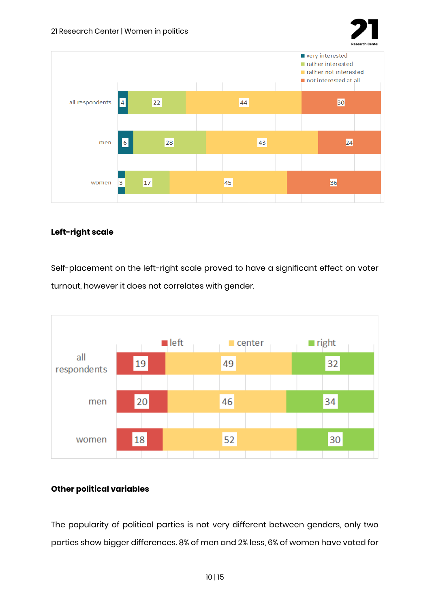



#### **Left-right scale**

Self-placement on the left-right scale proved to have a significant effect on voter turnout, however it does not correlates with gender.



#### **Other political variables**

The popularity of political parties is not very different between genders, only two parties show bigger differences. 8% of men and 2% less, 6% of women have voted for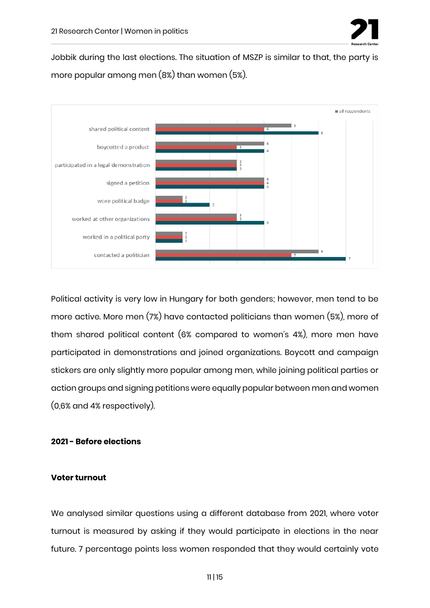

Jobbik during the last elections. The situation of MSZP is similar to that, the party is more popular among men (8%) than women (5%).



Political activity is very low in Hungary for both genders; however, men tend to be more active. More men (7%) have contacted politicians than women (5%), more of them shared political content (6% compared to women's 4%), more men have participated in demonstrations and joined organizations. Boycott and campaign stickers are only slightly more popular among men, while joining political parties or action groups and signing petitions were equally popular between men and women (0,6% and 4% respectively).

#### **2021 - Before elections**

#### **Voter turnout**

We analysed similar questions using a different database from 2021, where voter turnout is measured by asking if they would participate in elections in the near future. 7 percentage points less women responded that they would certainly vote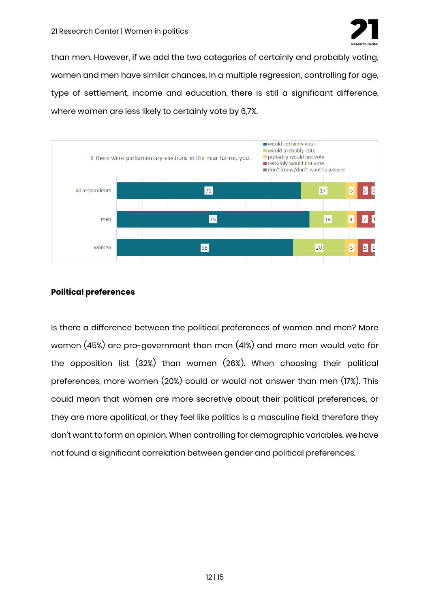

than men. However, if we add the two categories of certainly and probably voting, women and men have similar chances. In a multiple regression, controlling for age, type of settlement, income and education, there is still a significant difference, where women are less likely to certainly vote by 6,7%.



#### **Political preferences**

Is there a difference between the political preferences of women and men? More women (45%) are pro-government than men (41%) and more men would vote for the opposition list (32%) than women (26%). When choosing their political preferences, more women (20%) could or would not answer than men (17%). This could mean that women are more secretive about their political preferences, or they are more apolitical, or they feel like politics is a masculine field, therefore they don't want to form an opinion. When controlling for demographic variables, we have not found a significant correlation between gender and political preferences.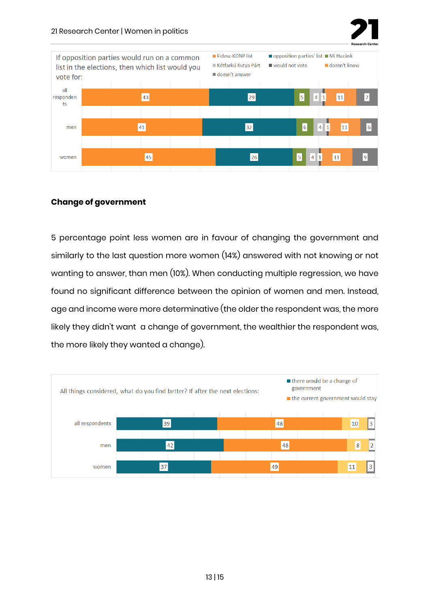



#### **Change of government**

5 percentage point less women are in favour of changing the government and similarly to the last question more women (14%) answered with not knowing or not wanting to answer, than men (10%). When conducting multiple regression, we have found no significant difference between the opinion of women and men. Instead, age and income were more determinative (the older the respondent was, the more likely they didn't want a change of government, the wealthier the respondent was, the more likely they wanted a change).

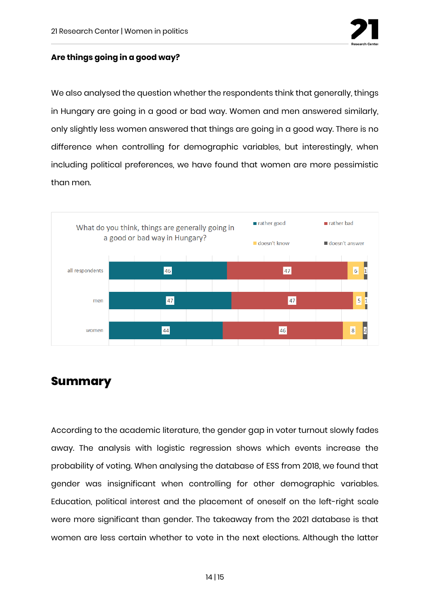

#### **Are things going in a good way?**

We also analysed the question whether the respondents think that generally, things in Hungary are going in a good or bad way. Women and men answered similarly, only slightly less women answered that things are going in a good way. There is no difference when controlling for demographic variables, but interestingly, when including political preferences, we have found that women are more pessimistic than men.



### **Summary**

According to the academic literature, the gender gap in voter turnout slowly fades away. The analysis with logistic regression shows which events increase the probability of voting. When analysing the database of ESS from 2018, we found that gender was insignificant when controlling for other demographic variables. Education, political interest and the placement of oneself on the left-right scale were more significant than gender. The takeaway from the 2021 database is that women are less certain whether to vote in the next elections. Although the latter